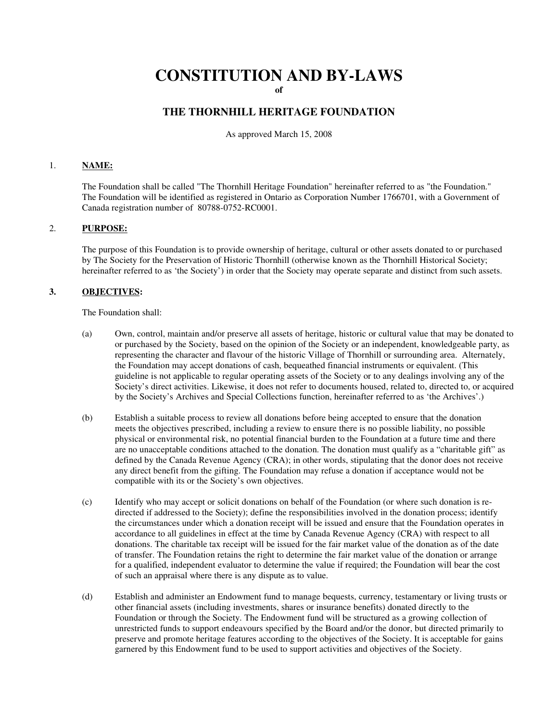# **CONSTITUTION AND BY-LAWS**

**of**

## **THE THORNHILL HERITAGE FOUNDATION**

As approved March 15, 2008

### 1. **NAME:**

The Foundation shall be called "The Thornhill Heritage Foundation" hereinafter referred to as "the Foundation." The Foundation will be identified as registered in Ontario as Corporation Number 1766701, with a Government of Canada registration number of 80788-0752-RC0001.

#### 2. **PURPOSE:**

The purpose of this Foundation is to provide ownership of heritage, cultural or other assets donated to or purchased by The Society for the Preservation of Historic Thornhill (otherwise known as the Thornhill Historical Society; hereinafter referred to as 'the Society') in order that the Society may operate separate and distinct from such assets.

#### **3. OBJECTIVES:**

The Foundation shall:

- (a) Own, control, maintain and/or preserve all assets of heritage, historic or cultural value that may be donated to or purchased by the Society, based on the opinion of the Society or an independent, knowledgeable party, as representing the character and flavour of the historic Village of Thornhill or surrounding area. Alternately, the Foundation may accept donations of cash, bequeathed financial instruments or equivalent. (This guideline is not applicable to regular operating assets of the Society or to any dealings involving any of the Society's direct activities. Likewise, it does not refer to documents housed, related to, directed to, or acquired by the Society's Archives and Special Collections function, hereinafter referred to as 'the Archives'.)
- (b) Establish a suitable process to review all donations before being accepted to ensure that the donation meets the objectives prescribed, including a review to ensure there is no possible liability, no possible physical or environmental risk, no potential financial burden to the Foundation at a future time and there are no unacceptable conditions attached to the donation. The donation must qualify as a "charitable gift" as defined by the Canada Revenue Agency (CRA); in other words, stipulating that the donor does not receive any direct benefit from the gifting. The Foundation may refuse a donation if acceptance would not be compatible with its or the Society's own objectives.
- (c) Identify who may accept or solicit donations on behalf of the Foundation (or where such donation is redirected if addressed to the Society); define the responsibilities involved in the donation process; identify the circumstances under which a donation receipt will be issued and ensure that the Foundation operates in accordance to all guidelines in effect at the time by Canada Revenue Agency (CRA) with respect to all donations. The charitable tax receipt will be issued for the fair market value of the donation as of the date of transfer. The Foundation retains the right to determine the fair market value of the donation or arrange for a qualified, independent evaluator to determine the value if required; the Foundation will bear the cost of such an appraisal where there is any dispute as to value.
- (d) Establish and administer an Endowment fund to manage bequests, currency, testamentary or living trusts or other financial assets (including investments, shares or insurance benefits) donated directly to the Foundation or through the Society. The Endowment fund will be structured as a growing collection of unrestricted funds to support endeavours specified by the Board and/or the donor, but directed primarily to preserve and promote heritage features according to the objectives of the Society. It is acceptable for gains garnered by this Endowment fund to be used to support activities and objectives of the Society.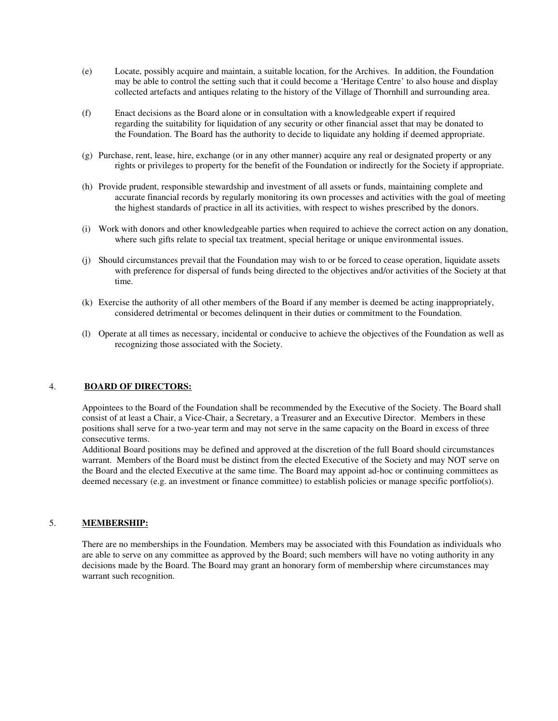- (e) Locate, possibly acquire and maintain, a suitable location, for the Archives. In addition, the Foundation may be able to control the setting such that it could become a 'Heritage Centre' to also house and display collected artefacts and antiques relating to the history of the Village of Thornhill and surrounding area.
- (f) Enact decisions as the Board alone or in consultation with a knowledgeable expert if required regarding the suitability for liquidation of any security or other financial asset that may be donated to the Foundation. The Board has the authority to decide to liquidate any holding if deemed appropriate.
- (g) Purchase, rent, lease, hire, exchange (or in any other manner) acquire any real or designated property or any rights or privileges to property for the benefit of the Foundation or indirectly for the Society if appropriate.
- (h) Provide prudent, responsible stewardship and investment of all assets or funds, maintaining complete and accurate financial records by regularly monitoring its own processes and activities with the goal of meeting the highest standards of practice in all its activities, with respect to wishes prescribed by the donors.
- (i) Work with donors and other knowledgeable parties when required to achieve the correct action on any donation, where such gifts relate to special tax treatment, special heritage or unique environmental issues.
- (j) Should circumstances prevail that the Foundation may wish to or be forced to cease operation, liquidate assets with preference for dispersal of funds being directed to the objectives and/or activities of the Society at that time.
- (k) Exercise the authority of all other members of the Board if any member is deemed be acting inappropriately, considered detrimental or becomes delinquent in their duties or commitment to the Foundation.
- (l) Operate at all times as necessary, incidental or conducive to achieve the objectives of the Foundation as well as recognizing those associated with the Society.

## 4. **BOARD OF DIRECTORS:**

Appointees to the Board of the Foundation shall be recommended by the Executive of the Society. The Board shall consist of at least a Chair, a Vice-Chair, a Secretary, a Treasurer and an Executive Director. Members in these positions shall serve for a two-year term and may not serve in the same capacity on the Board in excess of three consecutive terms.

Additional Board positions may be defined and approved at the discretion of the full Board should circumstances warrant. Members of the Board must be distinct from the elected Executive of the Society and may NOT serve on the Board and the elected Executive at the same time. The Board may appoint ad-hoc or continuing committees as deemed necessary (e.g. an investment or finance committee) to establish policies or manage specific portfolio(s).

#### 5. **MEMBERSHIP:**

There are no memberships in the Foundation. Members may be associated with this Foundation as individuals who are able to serve on any committee as approved by the Board; such members will have no voting authority in any decisions made by the Board. The Board may grant an honorary form of membership where circumstances may warrant such recognition.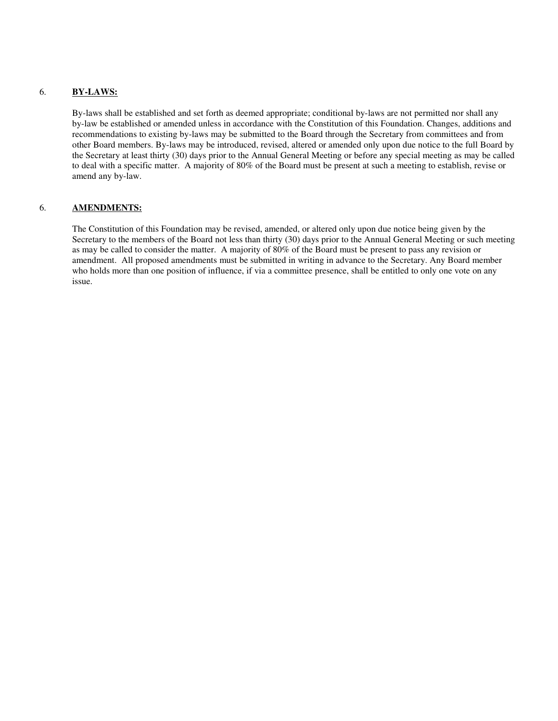## 6. **BY-LAWS:**

By-laws shall be established and set forth as deemed appropriate; conditional by-laws are not permitted nor shall any by-law be established or amended unless in accordance with the Constitution of this Foundation. Changes, additions and recommendations to existing by-laws may be submitted to the Board through the Secretary from committees and from other Board members. By-laws may be introduced, revised, altered or amended only upon due notice to the full Board by the Secretary at least thirty (30) days prior to the Annual General Meeting or before any special meeting as may be called to deal with a specific matter. A majority of 80% of the Board must be present at such a meeting to establish, revise or amend any by-law.

#### 6. **AMENDMENTS:**

The Constitution of this Foundation may be revised, amended, or altered only upon due notice being given by the Secretary to the members of the Board not less than thirty (30) days prior to the Annual General Meeting or such meeting as may be called to consider the matter. A majority of 80% of the Board must be present to pass any revision or amendment. All proposed amendments must be submitted in writing in advance to the Secretary. Any Board member who holds more than one position of influence, if via a committee presence, shall be entitled to only one vote on any issue.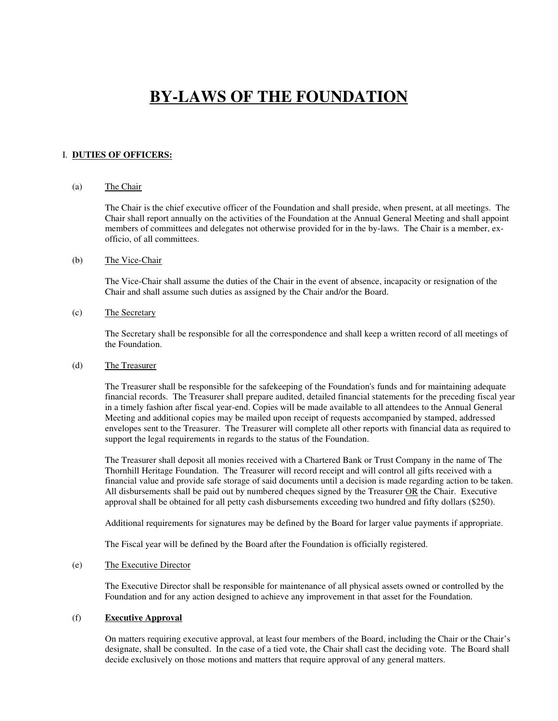## **BY-LAWS OF THE FOUNDATION**

## I. **DUTIES OF OFFICERS:**

#### (a) The Chair

The Chair is the chief executive officer of the Foundation and shall preside, when present, at all meetings. The Chair shall report annually on the activities of the Foundation at the Annual General Meeting and shall appoint members of committees and delegates not otherwise provided for in the by-laws. The Chair is a member, exofficio, of all committees.

#### (b) The Vice-Chair

The Vice-Chair shall assume the duties of the Chair in the event of absence, incapacity or resignation of the Chair and shall assume such duties as assigned by the Chair and/or the Board.

#### (c) The Secretary

The Secretary shall be responsible for all the correspondence and shall keep a written record of all meetings of the Foundation.

## (d) The Treasurer

The Treasurer shall be responsible for the safekeeping of the Foundation's funds and for maintaining adequate financial records. The Treasurer shall prepare audited, detailed financial statements for the preceding fiscal year in a timely fashion after fiscal year-end. Copies will be made available to all attendees to the Annual General Meeting and additional copies may be mailed upon receipt of requests accompanied by stamped, addressed envelopes sent to the Treasurer. The Treasurer will complete all other reports with financial data as required to support the legal requirements in regards to the status of the Foundation.

The Treasurer shall deposit all monies received with a Chartered Bank or Trust Company in the name of The Thornhill Heritage Foundation. The Treasurer will record receipt and will control all gifts received with a financial value and provide safe storage of said documents until a decision is made regarding action to be taken. All disbursements shall be paid out by numbered cheques signed by the Treasurer OR the Chair. Executive approval shall be obtained for all petty cash disbursements exceeding two hundred and fifty dollars (\$250).

Additional requirements for signatures may be defined by the Board for larger value payments if appropriate.

The Fiscal year will be defined by the Board after the Foundation is officially registered.

#### (e) The Executive Director

The Executive Director shall be responsible for maintenance of all physical assets owned or controlled by the Foundation and for any action designed to achieve any improvement in that asset for the Foundation.

#### (f) **Executive Approval**

On matters requiring executive approval, at least four members of the Board, including the Chair or the Chair's designate, shall be consulted. In the case of a tied vote, the Chair shall cast the deciding vote. The Board shall decide exclusively on those motions and matters that require approval of any general matters.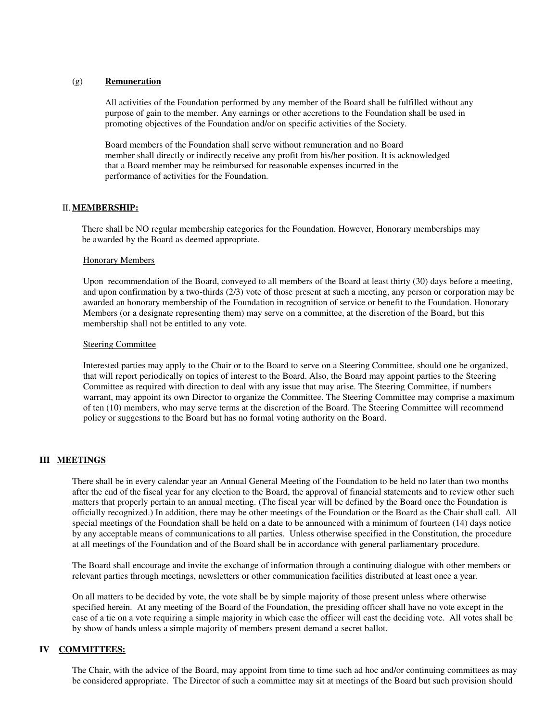#### (g) **Remuneration**

All activities of the Foundation performed by any member of the Board shall be fulfilled without any purpose of gain to the member. Any earnings or other accretions to the Foundation shall be used in promoting objectives of the Foundation and/or on specific activities of the Society.

Board members of the Foundation shall serve without remuneration and no Board member shall directly or indirectly receive any profit from his/her position. It is acknowledged that a Board member may be reimbursed for reasonable expenses incurred in the performance of activities for the Foundation.

#### II. **MEMBERSHIP:**

There shall be NO regular membership categories for the Foundation. However, Honorary memberships may be awarded by the Board as deemed appropriate.

#### **Honorary Members**

Upon recommendation of the Board, conveyed to all members of the Board at least thirty (30) days before a meeting, and upon confirmation by a two-thirds (2/3) vote of those present at such a meeting, any person or corporation may be awarded an honorary membership of the Foundation in recognition of service or benefit to the Foundation. Honorary Members (or a designate representing them) may serve on a committee, at the discretion of the Board, but this membership shall not be entitled to any vote.

#### **Steering Committee**

Interested parties may apply to the Chair or to the Board to serve on a Steering Committee, should one be organized, that will report periodically on topics of interest to the Board. Also, the Board may appoint parties to the Steering Committee as required with direction to deal with any issue that may arise. The Steering Committee, if numbers warrant, may appoint its own Director to organize the Committee. The Steering Committee may comprise a maximum of ten (10) members, who may serve terms at the discretion of the Board. The Steering Committee will recommend policy or suggestions to the Board but has no formal voting authority on the Board.

## **III MEETINGS**

There shall be in every calendar year an Annual General Meeting of the Foundation to be held no later than two months after the end of the fiscal year for any election to the Board, the approval of financial statements and to review other such matters that properly pertain to an annual meeting. (The fiscal year will be defined by the Board once the Foundation is officially recognized.) In addition, there may be other meetings of the Foundation or the Board as the Chair shall call. All special meetings of the Foundation shall be held on a date to be announced with a minimum of fourteen (14) days notice by any acceptable means of communications to all parties. Unless otherwise specified in the Constitution, the procedure at all meetings of the Foundation and of the Board shall be in accordance with general parliamentary procedure.

The Board shall encourage and invite the exchange of information through a continuing dialogue with other members or relevant parties through meetings, newsletters or other communication facilities distributed at least once a year.

On all matters to be decided by vote, the vote shall be by simple majority of those present unless where otherwise specified herein. At any meeting of the Board of the Foundation, the presiding officer shall have no vote except in the case of a tie on a vote requiring a simple majority in which case the officer will cast the deciding vote. All votes shall be by show of hands unless a simple majority of members present demand a secret ballot.

#### **IV COMMITTEES:**

The Chair, with the advice of the Board, may appoint from time to time such ad hoc and/or continuing committees as may be considered appropriate. The Director of such a committee may sit at meetings of the Board but such provision should